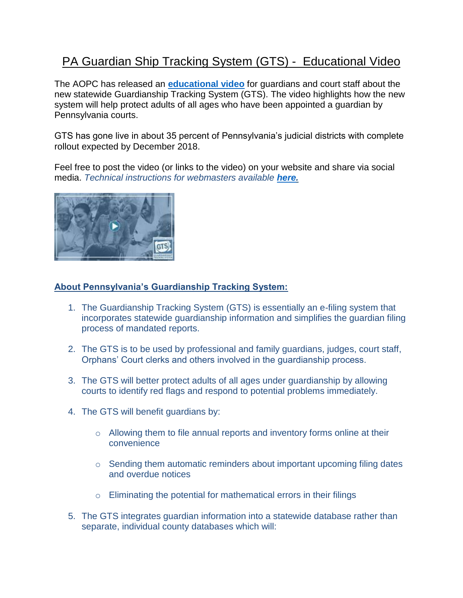## PA Guardian Ship Tracking System (GTS) - Educational Video

The AOPC has released an **[educational video](https://vimeo.com/284765559)** for guardians and court staff about the new statewide Guardianship Tracking System (GTS). The video highlights how the new system will help protect adults of all ages who have been appointed a guardian by Pennsylvania courts.

GTS has gone live in about 35 percent of Pennsylvania's judicial districts with complete rollout expected by December 2018.

Feel free to post the video (or links to the video) on your website and share via social media. *Technical instructions for webmasters available [here.](http://www.pacourts.us/assets/files/setting-6362/file-7302.pdf?cb=e6e5e7)*



## **About Pennsylvania's Guardianship Tracking System:**

- 1. The Guardianship Tracking System (GTS) is essentially an e-filing system that incorporates statewide guardianship information and simplifies the guardian filing process of mandated reports.
- 2. The GTS is to be used by professional and family guardians, judges, court staff, Orphans' Court clerks and others involved in the guardianship process.
- 3. The GTS will better protect adults of all ages under guardianship by allowing courts to identify red flags and respond to potential problems immediately.
- 4. The GTS will benefit guardians by:
	- o Allowing them to file annual reports and inventory forms online at their convenience
	- o Sending them automatic reminders about important upcoming filing dates and overdue notices
	- $\circ$  Eliminating the potential for mathematical errors in their filings
- 5. The GTS integrates guardian information into a statewide database rather than separate, individual county databases which will: